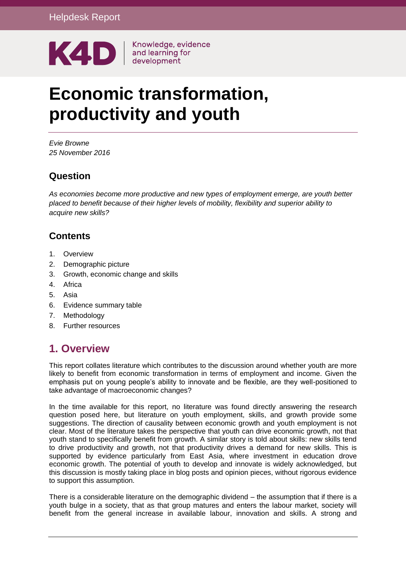

Knowledge, evidence

# **Economic transformation, productivity and youth**

*Evie Browne 25 November 2016*

### **Question**

*As economies become more productive and new types of employment emerge, are youth better placed to benefit because of their higher levels of mobility, flexibility and superior ability to acquire new skills?*

### **Contents**

- 1. [Overview](#page-0-0)
- 2. [Demographic picture](#page-1-0)
- 3. [Growth, economic change and skills](#page-2-0)
- 4. [Africa](#page-6-0)
- 5. [Asia](#page-8-0)
- 6. [Evidence summary table](#page-10-0)
- 7. [Methodology](#page-14-0)
- <span id="page-0-0"></span>8. [Further resources](#page-14-1)

### **1. Overview**

This report collates literature which contributes to the discussion around whether youth are more likely to benefit from economic transformation in terms of employment and income. Given the emphasis put on young people's ability to innovate and be flexible, are they well-positioned to take advantage of macroeconomic changes?

In the time available for this report, no literature was found directly answering the research question posed here, but literature on youth employment, skills, and growth provide some suggestions. The direction of causality between economic growth and youth employment is not clear. Most of the literature takes the perspective that youth can drive economic growth, not that youth stand to specifically benefit from growth. A similar story is told about skills: new skills tend to drive productivity and growth, not that productivity drives a demand for new skills. This is supported by evidence particularly from East Asia, where investment in education drove economic growth. The potential of youth to develop and innovate is widely acknowledged, but this discussion is mostly taking place in blog posts and opinion pieces, without rigorous evidence to support this assumption.

There is a considerable literature on the demographic dividend – the assumption that if there is a youth bulge in a society, that as that group matures and enters the labour market, society will benefit from the general increase in available labour, innovation and skills. A strong and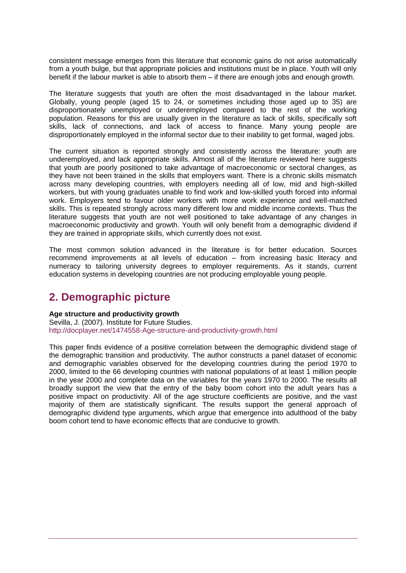consistent message emerges from this literature that economic gains do not arise automatically from a youth bulge, but that appropriate policies and institutions must be in place. Youth will only benefit if the labour market is able to absorb them – if there are enough jobs and enough growth.

The literature suggests that youth are often the most disadvantaged in the labour market. Globally, young people (aged 15 to 24, or sometimes including those aged up to 35) are disproportionately unemployed or underemployed compared to the rest of the working population. Reasons for this are usually given in the literature as lack of skills, specifically soft skills, lack of connections, and lack of access to finance. Many young people are disproportionately employed in the informal sector due to their inability to get formal, waged jobs.

The current situation is reported strongly and consistently across the literature: youth are underemployed, and lack appropriate skills. Almost all of the literature reviewed here suggests that youth are poorly positioned to take advantage of macroeconomic or sectoral changes, as they have not been trained in the skills that employers want. There is a chronic skills mismatch across many developing countries, with employers needing all of low, mid and high-skilled workers, but with young graduates unable to find work and low-skilled youth forced into informal work. Employers tend to favour older workers with more work experience and well-matched skills. This is repeated strongly across many different low and middle income contexts. Thus the literature suggests that youth are not well positioned to take advantage of any changes in macroeconomic productivity and growth. Youth will only benefit from a demographic dividend if they are trained in appropriate skills, which currently does not exist.

The most common solution advanced in the literature is for better education. Sources recommend improvements at all levels of education – from increasing basic literacy and numeracy to tailoring university degrees to employer requirements. As it stands, current education systems in developing countries are not producing employable young people.

### <span id="page-1-0"></span>**2. Demographic picture**

**Age structure and productivity growth**

Sevilla, J. (2007). Institute for Future Studies. <http://docplayer.net/1474558-Age-structure-and-productivity-growth.html>

This paper finds evidence of a positive correlation between the demographic dividend stage of the demographic transition and productivity. The author constructs a panel dataset of economic and demographic variables observed for the developing countries during the period 1970 to 2000, limited to the 66 developing countries with national populations of at least 1 million people in the year 2000 and complete data on the variables for the years 1970 to 2000. The results all broadly support the view that the entry of the baby boom cohort into the adult years has a positive impact on productivity. All of the age structure coefficients are positive, and the vast majority of them are statistically significant. The results support the general approach of demographic dividend type arguments, which argue that emergence into adulthood of the baby boom cohort tend to have economic effects that are conducive to growth.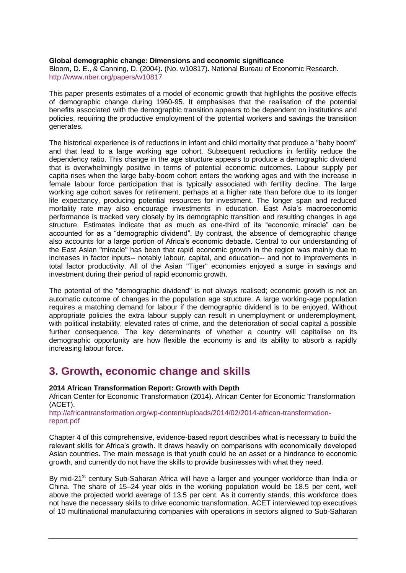#### **Global demographic change: Dimensions and economic significance**

Bloom, D. E., & Canning, D. (2004). (No. w10817). National Bureau of Economic Research. <http://www.nber.org/papers/w10817>

This paper presents estimates of a model of economic growth that highlights the positive effects of demographic change during 1960-95. It emphasises that the realisation of the potential benefits associated with the demographic transition appears to be dependent on institutions and policies, requiring the productive employment of the potential workers and savings the transition generates.

The historical experience is of reductions in infant and child mortality that produce a "baby boom" and that lead to a large working age cohort. Subsequent reductions in fertility reduce the dependency ratio. This change in the age structure appears to produce a demographic dividend that is overwhelmingly positive in terms of potential economic outcomes. Labour supply per capita rises when the large baby-boom cohort enters the working ages and with the increase in female labour force participation that is typically associated with fertility decline. The large working age cohort saves for retirement, perhaps at a higher rate than before due to its longer life expectancy, producing potential resources for investment. The longer span and reduced mortality rate may also encourage investments in education. East Asia's macroeconomic performance is tracked very closely by its demographic transition and resulting changes in age structure. Estimates indicate that as much as one-third of its "economic miracle" can be accounted for as a "demographic dividend". By contrast, the absence of demographic change also accounts for a large portion of Africa's economic debacle. Central to our understanding of the East Asian "miracle" has been that rapid economic growth in the region was mainly due to increases in factor inputs-- notably labour, capital, and education-- and not to improvements in total factor productivity. All of the Asian "Tiger" economies enjoyed a surge in savings and investment during their period of rapid economic growth.

The potential of the "demographic dividend" is not always realised; economic growth is not an automatic outcome of changes in the population age structure. A large working-age population requires a matching demand for labour if the demographic dividend is to be enjoyed. Without appropriate policies the extra labour supply can result in unemployment or underemployment, with political instability, elevated rates of crime, and the deterioration of social capital a possible further consequence. The key determinants of whether a country will capitalise on its demographic opportunity are how flexible the economy is and its ability to absorb a rapidly increasing labour force.

### <span id="page-2-0"></span>**3. Growth, economic change and skills**

#### **2014 African Transformation Report: Growth with Depth**

African Center for Economic Transformation (2014). African Center for Economic Transformation (ACET).

[http://africantransformation.org/wp-content/uploads/2014/02/2014-african-transformation](http://africantransformation.org/wp-content/uploads/2014/02/2014-african-transformation-report.pdf)[report.pdf](http://africantransformation.org/wp-content/uploads/2014/02/2014-african-transformation-report.pdf)

Chapter 4 of this comprehensive, evidence-based report describes what is necessary to build the relevant skills for Africa's growth. It draws heavily on comparisons with economically developed Asian countries. The main message is that youth could be an asset or a hindrance to economic growth, and currently do not have the skills to provide businesses with what they need.

By mid-21<sup>st</sup> century Sub-Saharan Africa will have a larger and younger workforce than India or China. The share of 15–24 year olds in the working population would be 18.5 per cent, well above the projected world average of 13.5 per cent. As it currently stands, this workforce does not have the necessary skills to drive economic transformation. ACET interviewed top executives of 10 multinational manufacturing companies with operations in sectors aligned to Sub-Saharan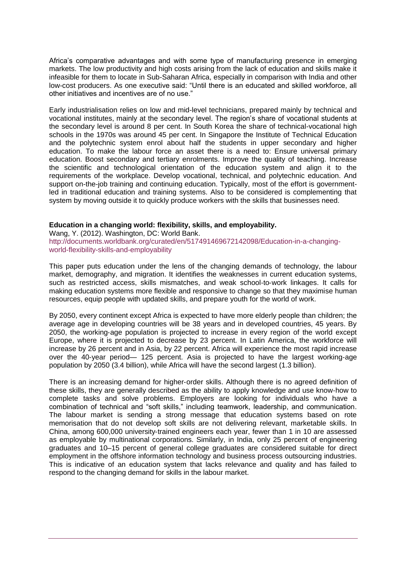Africa's comparative advantages and with some type of manufacturing presence in emerging markets. The low productivity and high costs arising from the lack of education and skills make it infeasible for them to locate in Sub-Saharan Africa, especially in comparison with India and other low-cost producers. As one executive said: "Until there is an educated and skilled workforce, all other initiatives and incentives are of no use."

Early industrialisation relies on low and mid-level technicians, prepared mainly by technical and vocational institutes, mainly at the secondary level. The region's share of vocational students at the secondary level is around 8 per cent. In South Korea the share of technical-vocational high schools in the 1970s was around 45 per cent. In Singapore the Institute of Technical Education and the polytechnic system enrol about half the students in upper secondary and higher education. To make the labour force an asset there is a need to: Ensure universal primary education. Boost secondary and tertiary enrolments. Improve the quality of teaching. Increase the scientific and technological orientation of the education system and align it to the requirements of the workplace. Develop vocational, technical, and polytechnic education. And support on-the-job training and continuing education. Typically, most of the effort is governmentled in traditional education and training systems. Also to be considered is complementing that system by moving outside it to quickly produce workers with the skills that businesses need.

#### **Education in a changing world: flexibility, skills, and employability.**

Wang, Y. (2012). Washington, DC: World Bank. [http://documents.worldbank.org/curated/en/517491469672142098/Education-in-a-changing](http://documents.worldbank.org/curated/en/517491469672142098/Education-in-a-changing-world-flexibility-skills-and-employability)[world-flexibility-skills-and-employability](http://documents.worldbank.org/curated/en/517491469672142098/Education-in-a-changing-world-flexibility-skills-and-employability)

This paper puts education under the lens of the changing demands of technology, the labour market, demography, and migration. It identifies the weaknesses in current education systems, such as restricted access, skills mismatches, and weak school-to-work linkages. It calls for making education systems more flexible and responsive to change so that they maximise human resources, equip people with updated skills, and prepare youth for the world of work.

By 2050, every continent except Africa is expected to have more elderly people than children; the average age in developing countries will be 38 years and in developed countries, 45 years. By 2050, the working‐age population is projected to increase in every region of the world except Europe, where it is projected to decrease by 23 percent. In Latin America, the workforce will increase by 26 percent and in Asia, by 22 percent. Africa will experience the most rapid increase over the 40‐year period— 125 percent. Asia is projected to have the largest working‐age population by 2050 (3.4 billion), while Africa will have the second largest (1.3 billion).

There is an increasing demand for higher-order skills. Although there is no agreed definition of these skills, they are generally described as the ability to apply knowledge and use know‐how to complete tasks and solve problems. Employers are looking for individuals who have a combination of technical and "soft skills," including teamwork, leadership, and communication. The labour market is sending a strong message that education systems based on rote memorisation that do not develop soft skills are not delivering relevant, marketable skills. In China, among 600,000 university‐trained engineers each year, fewer than 1 in 10 are assessed as employable by multinational corporations. Similarly, in India, only 25 percent of engineering graduates and 10–15 percent of general college graduates are considered suitable for direct employment in the offshore information technology and business process outsourcing industries. This is indicative of an education system that lacks relevance and quality and has failed to respond to the changing demand for skills in the labour market.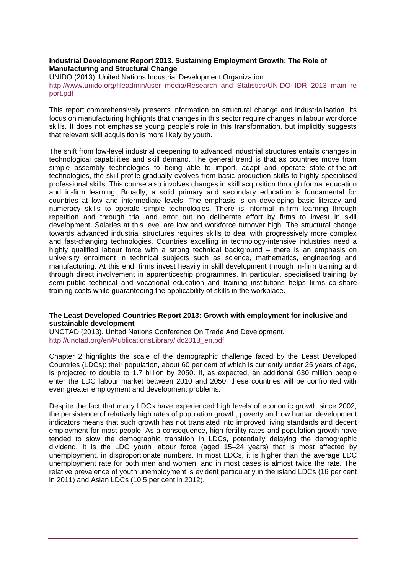#### **Industrial Development Report 2013. Sustaining Employment Growth: The Role of Manufacturing and Structural Change**

UNIDO (2013). United Nations Industrial Development Organization. [http://www.unido.org/fileadmin/user\\_media/Research\\_and\\_Statistics/UNIDO\\_IDR\\_2013\\_main\\_re](http://www.unido.org/fileadmin/user_media/Research_and_Statistics/UNIDO_IDR_2013_main_report.pdf) [port.pdf](http://www.unido.org/fileadmin/user_media/Research_and_Statistics/UNIDO_IDR_2013_main_report.pdf)

This report comprehensively presents information on structural change and industrialisation. Its focus on manufacturing highlights that changes in this sector require changes in labour workforce skills. It does not emphasise young people's role in this transformation, but implicitly suggests that relevant skill acquisition is more likely by youth.

The shift from low-level industrial deepening to advanced industrial structures entails changes in technological capabilities and skill demand. The general trend is that as countries move from simple assembly technologies to being able to import, adapt and operate state-of-the-art technologies, the skill profile gradually evolves from basic production skills to highly specialised professional skills. This course also involves changes in skill acquisition through formal education and in-firm learning. Broadly, a solid primary and secondary education is fundamental for countries at low and intermediate levels. The emphasis is on developing basic literacy and numeracy skills to operate simple technologies. There is informal in-firm learning through repetition and through trial and error but no deliberate effort by firms to invest in skill development. Salaries at this level are low and workforce turnover high. The structural change towards advanced industrial structures requires skills to deal with progressively more complex and fast-changing technologies. Countries excelling in technology-intensive industries need a highly qualified labour force with a strong technical background – there is an emphasis on university enrolment in technical subjects such as science, mathematics, engineering and manufacturing. At this end, firms invest heavily in skill development through in-firm training and through direct involvement in apprenticeship programmes. In particular, specialised training by semi-public technical and vocational education and training institutions helps firms co-share training costs while guaranteeing the applicability of skills in the workplace.

#### **The Least Developed Countries Report 2013: Growth with employment for inclusive and sustainable development**

UNCTAD (2013). United Nations Conference On Trade And Development. [http://unctad.org/en/PublicationsLibrary/ldc2013\\_en.pdf](http://unctad.org/en/PublicationsLibrary/ldc2013_en.pdf)

Chapter 2 highlights the scale of the demographic challenge faced by the Least Developed Countries (LDCs): their population, about 60 per cent of which is currently under 25 years of age, is projected to double to 1.7 billion by 2050. If, as expected, an additional 630 million people enter the LDC labour market between 2010 and 2050, these countries will be confronted with even greater employment and development problems.

Despite the fact that many LDCs have experienced high levels of economic growth since 2002, the persistence of relatively high rates of population growth, poverty and low human development indicators means that such growth has not translated into improved living standards and decent employment for most people. As a consequence, high fertility rates and population growth have tended to slow the demographic transition in LDCs, potentially delaying the demographic dividend. It is the LDC youth labour force (aged 15–24 years) that is most affected by unemployment, in disproportionate numbers. In most LDCs, it is higher than the average LDC unemployment rate for both men and women, and in most cases is almost twice the rate. The relative prevalence of youth unemployment is evident particularly in the island LDCs (16 per cent in 2011) and Asian LDCs (10.5 per cent in 2012).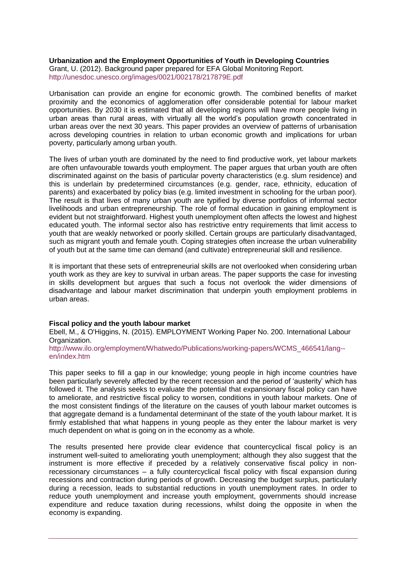**Urbanization and the Employment Opportunities of Youth in Developing Countries** Grant, U. (2012). Background paper prepared for EFA Global Monitoring Report. <http://unesdoc.unesco.org/images/0021/002178/217879E.pdf>

Urbanisation can provide an engine for economic growth. The combined benefits of market proximity and the economics of agglomeration offer considerable potential for labour market opportunities. By 2030 it is estimated that all developing regions will have more people living in urban areas than rural areas, with virtually all the world's population growth concentrated in urban areas over the next 30 years. This paper provides an overview of patterns of urbanisation across developing countries in relation to urban economic growth and implications for urban poverty, particularly among urban youth.

The lives of urban youth are dominated by the need to find productive work, yet labour markets are often unfavourable towards youth employment. The paper argues that urban youth are often discriminated against on the basis of particular poverty characteristics (e.g. slum residence) and this is underlain by predetermined circumstances (e.g. gender, race, ethnicity, education of parents) and exacerbated by policy bias (e.g. limited investment in schooling for the urban poor). The result is that lives of many urban youth are typified by diverse portfolios of informal sector livelihoods and urban entrepreneurship. The role of formal education in gaining employment is evident but not straightforward. Highest youth unemployment often affects the lowest and highest educated youth. The informal sector also has restrictive entry requirements that limit access to youth that are weakly networked or poorly skilled. Certain groups are particularly disadvantaged, such as migrant youth and female youth. Coping strategies often increase the urban vulnerability of youth but at the same time can demand (and cultivate) entrepreneurial skill and resilience.

It is important that these sets of entrepreneurial skills are not overlooked when considering urban youth work as they are key to survival in urban areas. The paper supports the case for investing in skills development but argues that such a focus not overlook the wider dimensions of disadvantage and labour market discrimination that underpin youth employment problems in urban areas.

#### **Fiscal policy and the youth labour market**

Ebell, M., & O'Higgins, N. (2015). EMPLOYMENT Working Paper No. 200. International Labour Organization.

[http://www.ilo.org/employment/Whatwedo/Publications/working-papers/WCMS\\_466541/lang-](http://www.ilo.org/employment/Whatwedo/Publications/working-papers/WCMS_466541/lang--en/index.htm) [en/index.htm](http://www.ilo.org/employment/Whatwedo/Publications/working-papers/WCMS_466541/lang--en/index.htm)

This paper seeks to fill a gap in our knowledge; young people in high income countries have been particularly severely affected by the recent recession and the period of 'austerity' which has followed it. The analysis seeks to evaluate the potential that expansionary fiscal policy can have to ameliorate, and restrictive fiscal policy to worsen, conditions in youth labour markets. One of the most consistent findings of the literature on the causes of youth labour market outcomes is that aggregate demand is a fundamental determinant of the state of the youth labour market. It is firmly established that what happens in young people as they enter the labour market is very much dependent on what is going on in the economy as a whole.

The results presented here provide clear evidence that countercyclical fiscal policy is an instrument well-suited to ameliorating youth unemployment; although they also suggest that the instrument is more effective if preceded by a relatively conservative fiscal policy in nonrecessionary circumstances – a fully countercyclical fiscal policy with fiscal expansion during recessions and contraction during periods of growth. Decreasing the budget surplus, particularly during a recession, leads to substantial reductions in youth unemployment rates. In order to reduce youth unemployment and increase youth employment, governments should increase expenditure and reduce taxation during recessions, whilst doing the opposite in when the economy is expanding.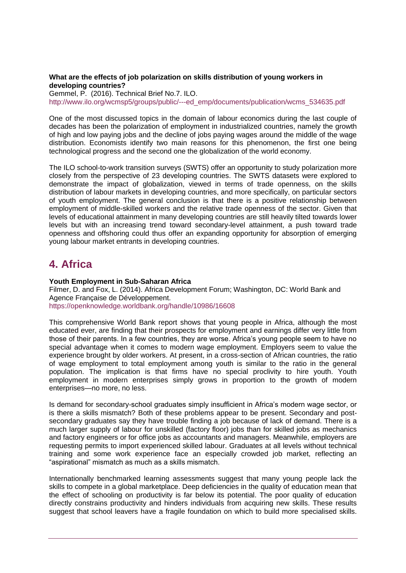#### **What are the effects of job polarization on skills distribution of young workers in developing countries?**

Gemmel, P. (2016). Technical Brief No.7. ILO. [http://www.ilo.org/wcmsp5/groups/public/---ed\\_emp/documents/publication/wcms\\_534635.pdf](http://www.ilo.org/wcmsp5/groups/public/---ed_emp/documents/publication/wcms_534635.pdf)

One of the most discussed topics in the domain of labour economics during the last couple of decades has been the polarization of employment in industrialized countries, namely the growth of high and low paying jobs and the decline of jobs paying wages around the middle of the wage distribution. Economists identify two main reasons for this phenomenon, the first one being technological progress and the second one the globalization of the world economy.

The ILO school-to-work transition surveys (SWTS) offer an opportunity to study polarization more closely from the perspective of 23 developing countries. The SWTS datasets were explored to demonstrate the impact of globalization, viewed in terms of trade openness, on the skills distribution of labour markets in developing countries, and more specifically, on particular sectors of youth employment. The general conclusion is that there is a positive relationship between employment of middle-skilled workers and the relative trade openness of the sector. Given that levels of educational attainment in many developing countries are still heavily tilted towards lower levels but with an increasing trend toward secondary-level attainment, a push toward trade openness and offshoring could thus offer an expanding opportunity for absorption of emerging young labour market entrants in developing countries.

### <span id="page-6-0"></span>**4. Africa**

#### **Youth Employment in Sub-Saharan Africa**

Filmer, D. and Fox, L. (2014). Africa Development Forum; Washington, DC: World Bank and Agence Française de Développement. <https://openknowledge.worldbank.org/handle/10986/16608>

This comprehensive World Bank report shows that young people in Africa, although the most educated ever, are finding that their prospects for employment and earnings differ very little from those of their parents. In a few countries, they are worse. Africa's young people seem to have no special advantage when it comes to modern wage employment. Employers seem to value the experience brought by older workers. At present, in a cross-section of African countries, the ratio of wage employment to total employment among youth is similar to the ratio in the general population. The implication is that firms have no special proclivity to hire youth. Youth employment in modern enterprises simply grows in proportion to the growth of modern enterprises—no more, no less.

Is demand for secondary-school graduates simply insufficient in Africa's modern wage sector, or is there a skills mismatch? Both of these problems appear to be present. Secondary and postsecondary graduates say they have trouble finding a job because of lack of demand. There is a much larger supply of labour for unskilled (factory floor) jobs than for skilled jobs as mechanics and factory engineers or for office jobs as accountants and managers. Meanwhile, employers are requesting permits to import experienced skilled labour. Graduates at all levels without technical training and some work experience face an especially crowded job market, reflecting an "aspirational" mismatch as much as a skills mismatch.

Internationally benchmarked learning assessments suggest that many young people lack the skills to compete in a global marketplace. Deep deficiencies in the quality of education mean that the effect of schooling on productivity is far below its potential. The poor quality of education directly constrains productivity and hinders individuals from acquiring new skills. These results suggest that school leavers have a fragile foundation on which to build more specialised skills.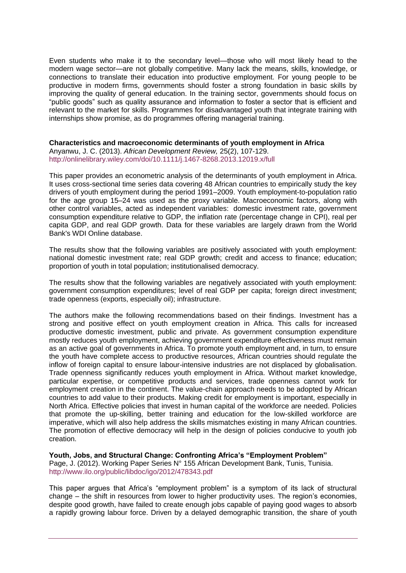Even students who make it to the secondary level—those who will most likely head to the modern wage sector—are not globally competitive. Many lack the means, skills, knowledge, or connections to translate their education into productive employment. For young people to be productive in modern firms, governments should foster a strong foundation in basic skills by improving the quality of general education. In the training sector, governments should focus on "public goods" such as quality assurance and information to foster a sector that is efficient and relevant to the market for skills. Programmes for disadvantaged youth that integrate training with internships show promise, as do programmes offering managerial training.

**Characteristics and macroeconomic determinants of youth employment in Africa** Anyanwu, J. C. (2013). *African Development Review,* 25(2), 107-129. <http://onlinelibrary.wiley.com/doi/10.1111/j.1467-8268.2013.12019.x/full>

This paper provides an econometric analysis of the determinants of youth employment in Africa. It uses cross-sectional time series data covering 48 African countries to empirically study the key drivers of youth employment during the period 1991–2009. Youth employment-to-population ratio for the age group 15–24 was used as the proxy variable. Macroeconomic factors, along with other control variables, acted as independent variables: domestic investment rate, government consumption expenditure relative to GDP, the inflation rate (percentage change in CPI), real per capita GDP, and real GDP growth. Data for these variables are largely drawn from the World Bank's WDI Online database.

The results show that the following variables are positively associated with youth employment: national domestic investment rate; real GDP growth; credit and access to finance; education; proportion of youth in total population; institutionalised democracy.

The results show that the following variables are negatively associated with youth employment: government consumption expenditures; level of real GDP per capita; foreign direct investment; trade openness (exports, especially oil); infrastructure.

The authors make the following recommendations based on their findings. Investment has a strong and positive effect on youth employment creation in Africa. This calls for increased productive domestic investment, public and private. As government consumption expenditure mostly reduces youth employment, achieving government expenditure effectiveness must remain as an active goal of governments in Africa. To promote youth employment and, in turn, to ensure the youth have complete access to productive resources, African countries should regulate the inflow of foreign capital to ensure labour-intensive industries are not displaced by globalisation. Trade openness significantly reduces youth employment in Africa. Without market knowledge, particular expertise, or competitive products and services, trade openness cannot work for employment creation in the continent. The value-chain approach needs to be adopted by African countries to add value to their products. Making credit for employment is important, especially in North Africa. Effective policies that invest in human capital of the workforce are needed. Policies that promote the up-skilling, better training and education for the low-skilled workforce are imperative, which will also help address the skills mismatches existing in many African countries. The promotion of effective democracy will help in the design of policies conducive to youth job creation.

**Youth, Jobs, and Structural Change: Confronting Africa's "Employment Problem"** Page, J. (2012). Working Paper Series N° 155 African Development Bank, Tunis, Tunisia. <http://www.ilo.org/public/libdoc/igo/2012/478343.pdf>

This paper argues that Africa's "employment problem" is a symptom of its lack of structural change – the shift in resources from lower to higher productivity uses. The region's economies, despite good growth, have failed to create enough jobs capable of paying good wages to absorb a rapidly growing labour force. Driven by a delayed demographic transition, the share of youth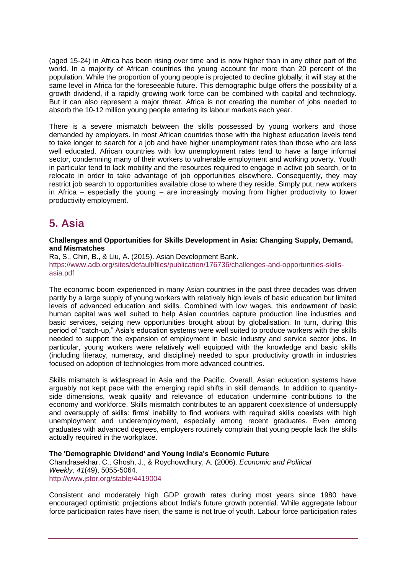(aged 15-24) in Africa has been rising over time and is now higher than in any other part of the world. In a majority of African countries the young account for more than 20 percent of the population. While the proportion of young people is projected to decline globally, it will stay at the same level in Africa for the foreseeable future. This demographic bulge offers the possibility of a growth dividend, if a rapidly growing work force can be combined with capital and technology. But it can also represent a major threat. Africa is not creating the number of jobs needed to absorb the 10-12 million young people entering its labour markets each year.

There is a severe mismatch between the skills possessed by young workers and those demanded by employers. In most African countries those with the highest education levels tend to take longer to search for a job and have higher unemployment rates than those who are less well educated. African countries with low unemployment rates tend to have a large informal sector, condemning many of their workers to vulnerable employment and working poverty. Youth in particular tend to lack mobility and the resources required to engage in active job search, or to relocate in order to take advantage of job opportunities elsewhere. Consequently, they may restrict job search to opportunities available close to where they reside. Simply put, new workers in Africa – especially the young – are increasingly moving from higher productivity to lower productivity employment.

### <span id="page-8-0"></span>**5. Asia**

#### **Challenges and Opportunities for Skills Development in Asia: Changing Supply, Demand, and Mismatches**

Ra, S., Chin, B., & Liu, A. (2015). Asian Development Bank. [https://www.adb.org/sites/default/files/publication/176736/challenges-and-opportunities-skills](https://www.adb.org/sites/default/files/publication/176736/challenges-and-opportunities-skills-asia.pdf)[asia.pdf](https://www.adb.org/sites/default/files/publication/176736/challenges-and-opportunities-skills-asia.pdf)

The economic boom experienced in many Asian countries in the past three decades was driven partly by a large supply of young workers with relatively high levels of basic education but limited levels of advanced education and skills. Combined with low wages, this endowment of basic human capital was well suited to help Asian countries capture production line industries and basic services, seizing new opportunities brought about by globalisation. In turn, during this period of "catch-up," Asia's education systems were well suited to produce workers with the skills needed to support the expansion of employment in basic industry and service sector jobs. In particular, young workers were relatively well equipped with the knowledge and basic skills (including literacy, numeracy, and discipline) needed to spur productivity growth in industries focused on adoption of technologies from more advanced countries.

Skills mismatch is widespread in Asia and the Pacific. Overall, Asian education systems have arguably not kept pace with the emerging rapid shifts in skill demands. In addition to quantityside dimensions, weak quality and relevance of education undermine contributions to the economy and workforce. Skills mismatch contributes to an apparent coexistence of undersupply and oversupply of skills: firms' inability to find workers with required skills coexists with high unemployment and underemployment, especially among recent graduates. Even among graduates with advanced degrees, employers routinely complain that young people lack the skills actually required in the workplace.

#### **The 'Demographic Dividend' and Young India's Economic Future**

Chandrasekhar, C., Ghosh, J., & Roychowdhury, A. (2006). *Economic and Political Weekly, 41*(49), 5055-5064. <http://www.jstor.org/stable/4419004>

Consistent and moderately high GDP growth rates during most years since 1980 have encouraged optimistic projections about India's future growth potential. While aggregate labour force participation rates have risen, the same is not true of youth. Labour force participation rates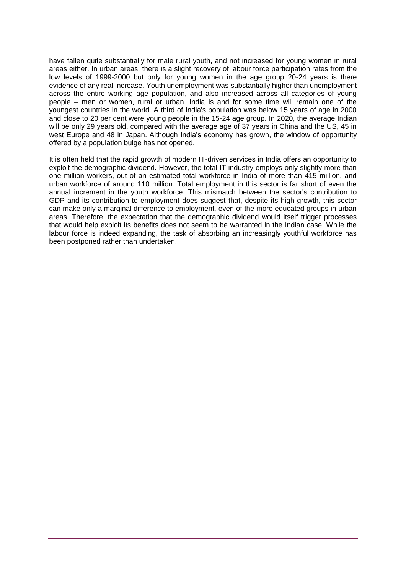have fallen quite substantially for male rural youth, and not increased for young women in rural areas either. In urban areas, there is a slight recovery of labour force participation rates from the low levels of 1999-2000 but only for young women in the age group 20-24 years is there evidence of any real increase. Youth unemployment was substantially higher than unemployment across the entire working age population, and also increased across all categories of young people – men or women, rural or urban. India is and for some time will remain one of the youngest countries in the world. A third of India's population was below 15 years of age in 2000 and close to 20 per cent were young people in the 15-24 age group. In 2020, the average Indian will be only 29 years old, compared with the average age of 37 years in China and the US, 45 in west Europe and 48 in Japan. Although India's economy has grown, the window of opportunity offered by a population bulge has not opened.

It is often held that the rapid growth of modern IT-driven services in India offers an opportunity to exploit the demographic dividend. However, the total IT industry employs only slightly more than one million workers, out of an estimated total workforce in India of more than 415 million, and urban workforce of around 110 million. Total employment in this sector is far short of even the annual increment in the youth workforce. This mismatch between the sector's contribution to GDP and its contribution to employment does suggest that, despite its high growth, this sector can make only a marginal difference to employment, even of the more educated groups in urban areas. Therefore, the expectation that the demographic dividend would itself trigger processes that would help exploit its benefits does not seem to be warranted in the Indian case. While the labour force is indeed expanding, the task of absorbing an increasingly youthful workforce has been postponed rather than undertaken.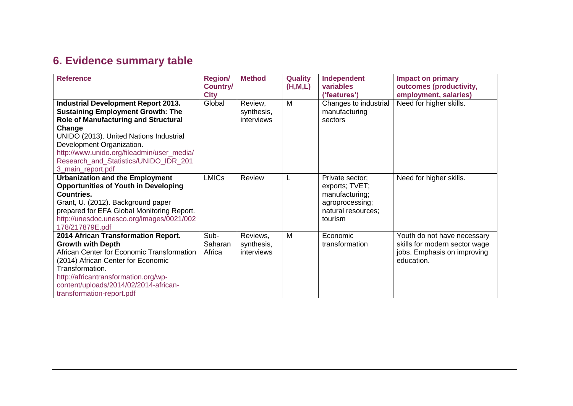# **6. Evidence summary table**

<span id="page-10-0"></span>

| <b>Reference</b>                                                                                                                                                                                                                                                                                                                    | <b>Region/</b><br><b>Country/</b><br><b>City</b> | <b>Method</b>                        | <b>Quality</b><br>(H, M, L) | Independent<br>variables<br>('features')                                                                | <b>Impact on primary</b><br>outcomes (productivity,<br>employment, salaries)                              |
|-------------------------------------------------------------------------------------------------------------------------------------------------------------------------------------------------------------------------------------------------------------------------------------------------------------------------------------|--------------------------------------------------|--------------------------------------|-----------------------------|---------------------------------------------------------------------------------------------------------|-----------------------------------------------------------------------------------------------------------|
| <b>Industrial Development Report 2013.</b><br><b>Sustaining Employment Growth: The</b><br><b>Role of Manufacturing and Structural</b><br>Change<br>UNIDO (2013). United Nations Industrial<br>Development Organization.<br>http://www.unido.org/fileadmin/user_media/<br>Research_and_Statistics/UNIDO_IDR_201<br>3_main_report.pdf | Global                                           | Review,<br>synthesis,<br>interviews  | M                           | Changes to industrial<br>manufacturing<br>sectors                                                       | Need for higher skills.                                                                                   |
| <b>Urbanization and the Employment</b><br><b>Opportunities of Youth in Developing</b><br><b>Countries.</b><br>Grant, U. (2012). Background paper<br>prepared for EFA Global Monitoring Report.<br>http://unesdoc.unesco.org/images/0021/002<br>178/217879E.pdf                                                                      | <b>LMICs</b>                                     | Review                               |                             | Private sector;<br>exports; TVET;<br>manufacturing;<br>agroprocessing;<br>natural resources;<br>tourism | Need for higher skills.                                                                                   |
| 2014 African Transformation Report.<br><b>Growth with Depth</b><br>African Center for Economic Transformation<br>(2014) African Center for Economic<br>Transformation.<br>http://africantransformation.org/wp-<br>content/uploads/2014/02/2014-african-<br>transformation-report.pdf                                                | Sub-<br>Saharan<br>Africa                        | Reviews,<br>synthesis,<br>interviews | M                           | Economic<br>transformation                                                                              | Youth do not have necessary<br>skills for modern sector wage<br>jobs. Emphasis on improving<br>education. |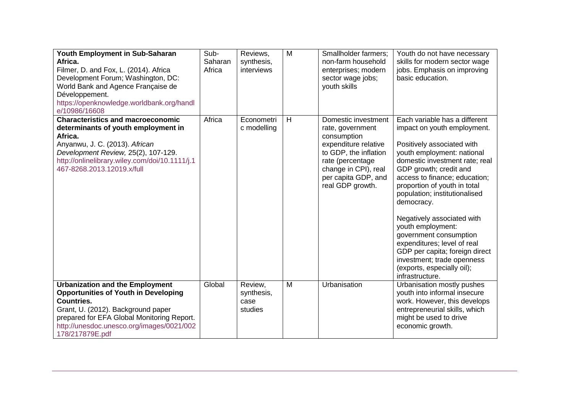| Youth Employment in Sub-Saharan<br>Africa.<br>Filmer, D. and Fox, L. (2014). Africa<br>Development Forum; Washington, DC:<br>World Bank and Agence Française de<br>Développement.<br>https://openknowledge.worldbank.org/handl<br>e/10986/16608                | Sub-<br>Saharan<br>Africa | Reviews,<br>synthesis,<br>interviews     | M | Smallholder farmers;<br>non-farm household<br>enterprises; modern<br>sector wage jobs;<br>youth skills                                                                                         | Youth do not have necessary<br>skills for modern sector wage<br>jobs. Emphasis on improving<br>basic education.                                                                                                                                                                                                                                                                                                                                                                                                                   |
|----------------------------------------------------------------------------------------------------------------------------------------------------------------------------------------------------------------------------------------------------------------|---------------------------|------------------------------------------|---|------------------------------------------------------------------------------------------------------------------------------------------------------------------------------------------------|-----------------------------------------------------------------------------------------------------------------------------------------------------------------------------------------------------------------------------------------------------------------------------------------------------------------------------------------------------------------------------------------------------------------------------------------------------------------------------------------------------------------------------------|
| <b>Characteristics and macroeconomic</b><br>determinants of youth employment in<br>Africa.<br>Anyanwu, J. C. (2013). African<br>Development Review, 25(2), 107-129.<br>http://onlinelibrary.wiley.com/doi/10.1111/j.1<br>467-8268.2013.12019.x/full            | Africa                    | Econometri<br>c modelling                | H | Domestic investment<br>rate, government<br>consumption<br>expenditure relative<br>to GDP, the inflation<br>rate (percentage<br>change in CPI), real<br>per capita GDP, and<br>real GDP growth. | Each variable has a different<br>impact on youth employment.<br>Positively associated with<br>youth employment: national<br>domestic investment rate; real<br>GDP growth; credit and<br>access to finance; education;<br>proportion of youth in total<br>population; institutionalised<br>democracy.<br>Negatively associated with<br>youth employment:<br>government consumption<br>expenditures; level of real<br>GDP per capita; foreign direct<br>investment; trade openness<br>(exports, especially oil);<br>infrastructure. |
| <b>Urbanization and the Employment</b><br><b>Opportunities of Youth in Developing</b><br><b>Countries.</b><br>Grant, U. (2012). Background paper<br>prepared for EFA Global Monitoring Report.<br>http://unesdoc.unesco.org/images/0021/002<br>178/217879E.pdf | Global                    | Review,<br>synthesis,<br>case<br>studies | M | Urbanisation                                                                                                                                                                                   | Urbanisation mostly pushes<br>youth into informal insecure<br>work. However, this develops<br>entrepreneurial skills, which<br>might be used to drive<br>economic growth.                                                                                                                                                                                                                                                                                                                                                         |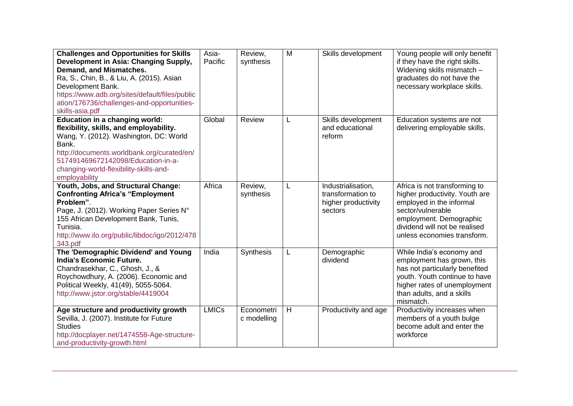| <b>Challenges and Opportunities for Skills</b><br>Development in Asia: Changing Supply,<br>Demand, and Mismatches.<br>Ra, S., Chin, B., & Liu, A. (2015). Asian<br>Development Bank.<br>https://www.adb.org/sites/default/files/public<br>ation/176736/challenges-and-opportunities-<br>skills-asia.pdf | Asia-<br>Pacific | Review,<br>synthesis      | M | Skills development                                                        | Young people will only benefit<br>if they have the right skills.<br>Widening skills mismatch -<br>graduates do not have the<br>necessary workplace skills.                                                  |
|---------------------------------------------------------------------------------------------------------------------------------------------------------------------------------------------------------------------------------------------------------------------------------------------------------|------------------|---------------------------|---|---------------------------------------------------------------------------|-------------------------------------------------------------------------------------------------------------------------------------------------------------------------------------------------------------|
| <b>Education in a changing world:</b><br>flexibility, skills, and employability.<br>Wang, Y. (2012). Washington, DC: World<br>Bank.<br>http://documents.worldbank.org/curated/en/<br>517491469672142098/Education-in-a-<br>changing-world-flexibility-skills-and-<br>employability                      | Global           | Review                    | L | Skills development<br>and educational<br>reform                           | Education systems are not<br>delivering employable skills.                                                                                                                                                  |
| Youth, Jobs, and Structural Change:<br><b>Confronting Africa's "Employment</b><br>Problem".<br>Page, J. (2012). Working Paper Series N°<br>155 African Development Bank, Tunis,<br>Tunisia.<br>http://www.ilo.org/public/libdoc/igo/2012/478<br>343.pdf                                                 | Africa           | Review,<br>synthesis      | L | Industrialisation,<br>transformation to<br>higher productivity<br>sectors | Africa is not transforming to<br>higher productivity. Youth are<br>employed in the informal<br>sector/vulnerable<br>employment. Demographic<br>dividend will not be realised<br>unless economies transform. |
| The 'Demographic Dividend' and Young<br><b>India's Economic Future.</b><br>Chandrasekhar, C., Ghosh, J., &<br>Roychowdhury, A. (2006). Economic and<br>Political Weekly, 41(49), 5055-5064.<br>http://www.jstor.org/stable/4419004                                                                      | India            | Synthesis                 | L | Demographic<br>dividend                                                   | While India's economy and<br>employment has grown, this<br>has not particularly benefited<br>youth. Youth continue to have<br>higher rates of unemployment<br>than adults, and a skills<br>mismatch.        |
| Age structure and productivity growth<br>Sevilla, J. (2007). Institute for Future<br><b>Studies</b><br>http://docplayer.net/1474558-Age-structure-<br>and-productivity-growth.html                                                                                                                      | <b>LMICs</b>     | Econometri<br>c modelling | H | Productivity and age                                                      | Productivity increases when<br>members of a youth bulge<br>become adult and enter the<br>workforce                                                                                                          |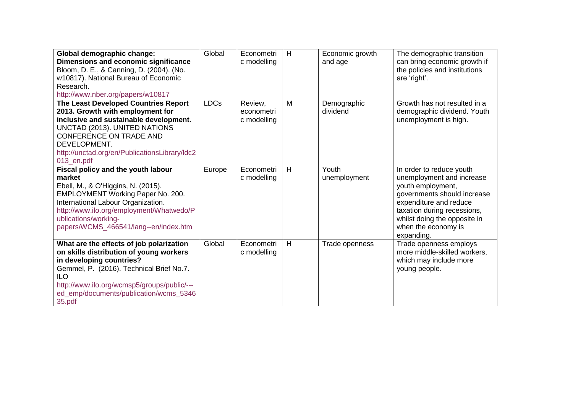| Global demographic change:                    | Global      | Econometri  | H              | Economic growth | The demographic transition    |
|-----------------------------------------------|-------------|-------------|----------------|-----------------|-------------------------------|
| Dimensions and economic significance          |             | c modelling |                | and age         | can bring economic growth if  |
| Bloom, D. E., & Canning, D. (2004). (No.      |             |             |                |                 | the policies and institutions |
| w10817). National Bureau of Economic          |             |             |                |                 | are 'right'.                  |
| Research.                                     |             |             |                |                 |                               |
| http://www.nber.org/papers/w10817             |             |             |                |                 |                               |
| The Least Developed Countries Report          | <b>LDCs</b> | Review,     | M              | Demographic     | Growth has not resulted in a  |
| 2013. Growth with employment for              |             | econometri  |                | dividend        | demographic dividend. Youth   |
| inclusive and sustainable development.        |             | c modelling |                |                 | unemployment is high.         |
| UNCTAD (2013). UNITED NATIONS                 |             |             |                |                 |                               |
| CONFERENCE ON TRADE AND                       |             |             |                |                 |                               |
| DEVELOPMENT.                                  |             |             |                |                 |                               |
| http://unctad.org/en/PublicationsLibrary/Idc2 |             |             |                |                 |                               |
| 013_en.pdf                                    |             |             |                |                 |                               |
| Fiscal policy and the youth labour            | Europe      | Econometri  | H              | Youth           | In order to reduce youth      |
| market                                        |             | c modelling |                | unemployment    | unemployment and increase     |
| Ebell, M., & O'Higgins, N. (2015).            |             |             |                |                 | youth employment,             |
| EMPLOYMENT Working Paper No. 200.             |             |             |                |                 | governments should increase   |
| International Labour Organization.            |             |             |                |                 | expenditure and reduce        |
| http://www.ilo.org/employment/Whatwedo/P      |             |             |                |                 | taxation during recessions,   |
| ublications/working-                          |             |             |                |                 | whilst doing the opposite in  |
| papers/WCMS_466541/lang--en/index.htm         |             |             |                |                 | when the economy is           |
|                                               |             |             |                |                 | expanding.                    |
| What are the effects of job polarization      | Global      | Econometri  | $\overline{H}$ | Trade openness  | Trade openness employs        |
| on skills distribution of young workers       |             | c modelling |                |                 | more middle-skilled workers,  |
| in developing countries?                      |             |             |                |                 | which may include more        |
| Gemmel, P. (2016). Technical Brief No.7.      |             |             |                |                 | young people.                 |
| <b>ILO</b>                                    |             |             |                |                 |                               |
| http://www.ilo.org/wcmsp5/groups/public/---   |             |             |                |                 |                               |
| ed_emp/documents/publication/wcms_5346        |             |             |                |                 |                               |
| 35.pdf                                        |             |             |                |                 |                               |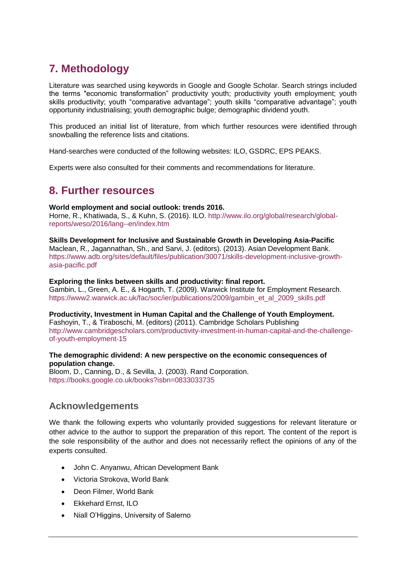## <span id="page-14-0"></span>**7. Methodology**

Literature was searched using keywords in Google and Google Scholar. Search strings included the terms "economic transformation" productivity youth; productivity youth employment; youth skills productivity; youth "comparative advantage"; youth skills "comparative advantage"; youth opportunity industrialising; youth demographic bulge; demographic dividend youth.

This produced an initial list of literature, from which further resources were identified through snowballing the reference lists and citations.

Hand-searches were conducted of the following websites: ILO, GSDRC, EPS PEAKS.

<span id="page-14-1"></span>Experts were also consulted for their comments and recommendations for literature.

### **8. Further resources**

#### **World employment and social outlook: trends 2016.**

Horne, R., Khatiwada, S., & Kuhn, S. (2016). ILO. [http://www.ilo.org/global/research/global](http://www.ilo.org/global/research/global-reports/weso/2016/lang--en/index.htm)[reports/weso/2016/lang--en/index.htm](http://www.ilo.org/global/research/global-reports/weso/2016/lang--en/index.htm)

**Skills Development for Inclusive and Sustainable Growth in Developing Asia-Pacific** Maclean, R., Jagannathan, Sh., and Sarvi, J. (editors). (2013). Asian Development Bank. [https://www.adb.org/sites/default/files/publication/30071/skills-development-inclusive-growth](https://www.adb.org/sites/default/files/publication/30071/skills-development-inclusive-growth-asia-pacific.pdf)[asia-pacific.pdf](https://www.adb.org/sites/default/files/publication/30071/skills-development-inclusive-growth-asia-pacific.pdf)

#### **Exploring the links between skills and productivity: final report.**

Gambin, L., Green, A. E., & Hogarth, T. (2009). Warwick Institute for Employment Research. [https://www2.warwick.ac.uk/fac/soc/ier/publications/2009/gambin\\_et\\_al\\_2009\\_skills.pdf](https://www2.warwick.ac.uk/fac/soc/ier/publications/2009/gambin_et_al_2009_skills.pdf)

**Productivity, Investment in Human Capital and the Challenge of Youth Employment.** Fashoyin, T., & Tiraboschi, M. (editors) (2011). Cambridge Scholars Publishing [http://www.cambridgescholars.com/productivity-investment-in-human-capital-and-the-challenge](http://www.cambridgescholars.com/productivity-investment-in-human-capital-and-the-challenge-of-youth-employment-15)[of-youth-employment-15](http://www.cambridgescholars.com/productivity-investment-in-human-capital-and-the-challenge-of-youth-employment-15)

#### **The demographic dividend: A new perspective on the economic consequences of population change.**

Bloom, D., Canning, D., & Sevilla, J. (2003). Rand Corporation. <https://books.google.co.uk/books?isbn=0833033735>

#### **Acknowledgements**

We thank the following experts who voluntarily provided suggestions for relevant literature or other advice to the author to support the preparation of this report. The content of the report is the sole responsibility of the author and does not necessarily reflect the opinions of any of the experts consulted.

- John C. Anyanwu, African Development Bank
- Victoria Strokova, World Bank
- Deon Filmer, World Bank
- Ekkehard Ernst, ILO
- Niall O'Higgins, University of Salerno